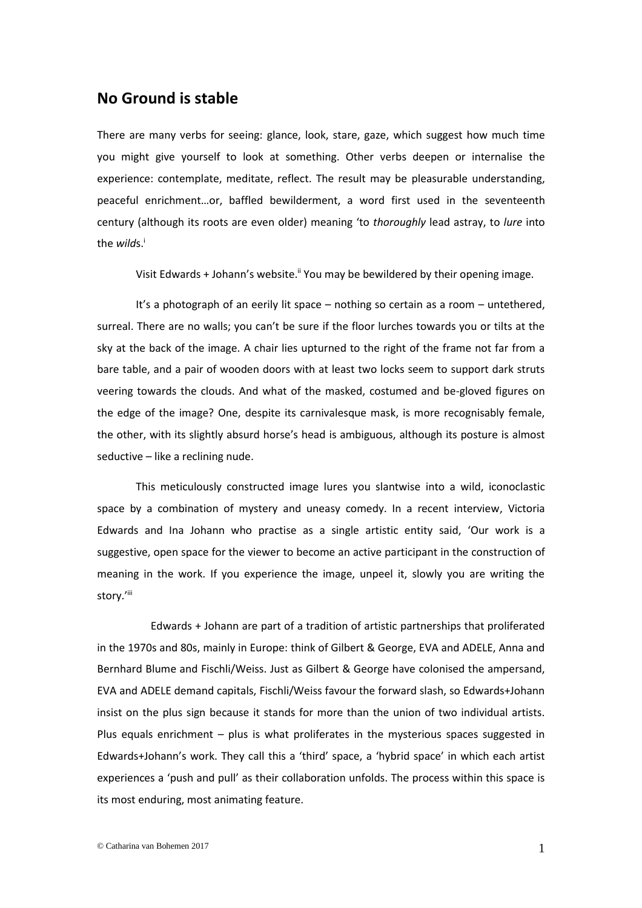## **No Ground is stable**

There are many verbs for seeing: glance, look, stare, gaze, which suggest how much time you might give yourself to look at something. Other verbs deepen or internalise the experience: contemplate, meditate, reflect. The result may be pleasurable understanding, peaceful enrichment…or, baffled bewilderment, a word first used in the seventeenth century (although its roots are even older) meaning 'to *thoroughly* lead astray, to *lure* into the *wilds*.<sup>i</sup>

Visit Edwards + Johann's website.<sup>ii</sup> You may be bewildered by their opening image.

It's a photograph of an eerily lit space – nothing so certain as a room – untethered, surreal. There are no walls; you can't be sure if the floor lurches towards you or tilts at the sky at the back of the image. A chair lies upturned to the right of the frame not far from a bare table, and a pair of wooden doors with at least two locks seem to support dark struts veering towards the clouds. And what of the masked, costumed and be-gloved figures on the edge of the image? One, despite its carnivalesque mask, is more recognisably female, the other, with its slightly absurd horse's head is ambiguous, although its posture is almost seductive – like a reclining nude.

This meticulously constructed image lures you slantwise into a wild, iconoclastic space by a combination of mystery and uneasy comedy. In a recent interview, Victoria Edwards and Ina Johann who practise as a single artistic entity said, 'Our work is a suggestive, open space for the viewer to become an active participant in the construction of meaning in the work. If you experience the image, unpeel it, slowly you are writing the story.'iii

Edwards + Johann are part of a tradition of artistic partnerships that proliferated in the 1970s and 80s, mainly in Europe: think of Gilbert & George, EVA and ADELE, Anna and Bernhard Blume and Fischli/Weiss. Just as Gilbert & George have colonised the ampersand, EVA and ADELE demand capitals, Fischli/Weiss favour the forward slash, so Edwards+Johann insist on the plus sign because it stands for more than the union of two individual artists. Plus equals enrichment – plus is what proliferates in the mysterious spaces suggested in Edwards+Johann's work. They call this a 'third' space, a 'hybrid space' in which each artist experiences a 'push and pull' as their collaboration unfolds. The process within this space is its most enduring, most animating feature.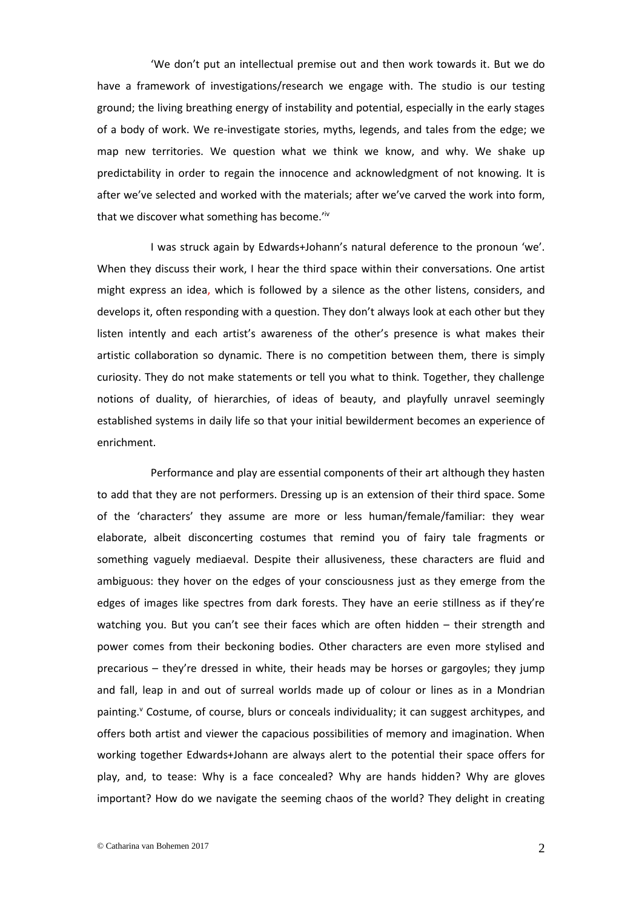'We don't put an intellectual premise out and then work towards it. But we do have a framework of investigations/research we engage with. The studio is our testing ground; the living breathing energy of instability and potential, especially in the early stages of a body of work. We re-investigate stories, myths, legends, and tales from the edge; we map new territories. We question what we think we know, and why. We shake up predictability in order to regain the innocence and acknowledgment of not knowing. It is after we've selected and worked with the materials; after we've carved the work into form, that we discover what something has become.'iv

I was struck again by Edwards+Johann's natural deference to the pronoun 'we'. When they discuss their work, I hear the third space within their conversations. One artist might express an idea, which is followed by a silence as the other listens, considers, and develops it, often responding with a question. They don't always look at each other but they listen intently and each artist's awareness of the other's presence is what makes their artistic collaboration so dynamic. There is no competition between them, there is simply curiosity. They do not make statements or tell you what to think. Together, they challenge notions of duality, of hierarchies, of ideas of beauty, and playfully unravel seemingly established systems in daily life so that your initial bewilderment becomes an experience of enrichment.

Performance and play are essential components of their art although they hasten to add that they are not performers. Dressing up is an extension of their third space. Some of the 'characters' they assume are more or less human/female/familiar: they wear elaborate, albeit disconcerting costumes that remind you of fairy tale fragments or something vaguely mediaeval. Despite their allusiveness, these characters are fluid and ambiguous: they hover on the edges of your consciousness just as they emerge from the edges of images like spectres from dark forests. They have an eerie stillness as if they're watching you. But you can't see their faces which are often hidden – their strength and power comes from their beckoning bodies. Other characters are even more stylised and precarious – they're dressed in white, their heads may be horses or gargoyles; they jump and fall, leap in and out of surreal worlds made up of colour or lines as in a Mondrian painting.<sup>y</sup> Costume, of course, blurs or conceals individuality; it can suggest architypes, and offers both artist and viewer the capacious possibilities of memory and imagination. When working together Edwards+Johann are always alert to the potential their space offers for play, and, to tease: Why is a face concealed? Why are hands hidden? Why are gloves important? How do we navigate the seeming chaos of the world? They delight in creating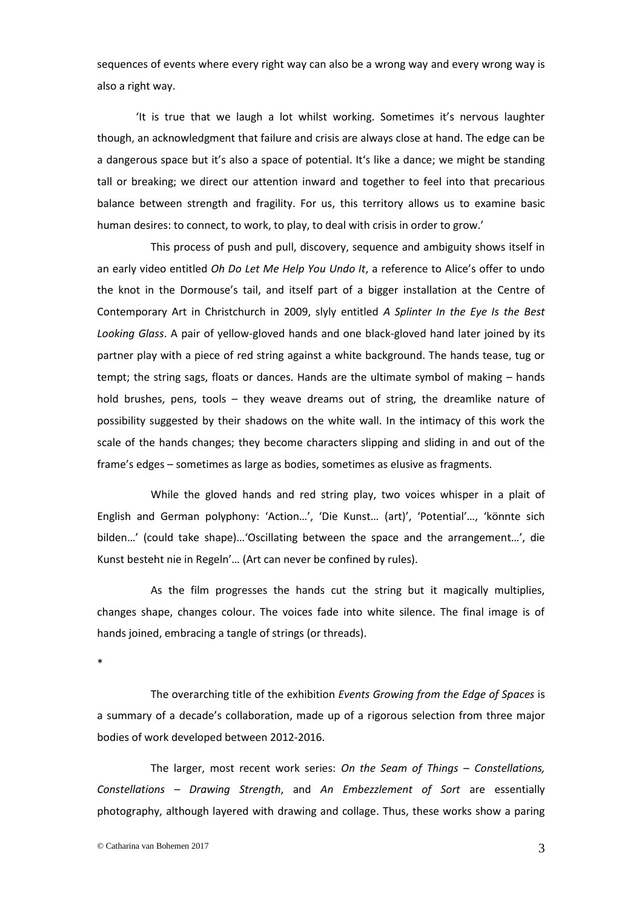sequences of events where every right way can also be a wrong way and every wrong way is also a right way.

'It is true that we laugh a lot whilst working. Sometimes it's nervous laughter though, an acknowledgment that failure and crisis are always close at hand. The edge can be a dangerous space but it's also a space of potential. It's like a dance; we might be standing tall or breaking; we direct our attention inward and together to feel into that precarious balance between strength and fragility. For us, this territory allows us to examine basic human desires: to connect, to work, to play, to deal with crisis in order to grow.'

This process of push and pull, discovery, sequence and ambiguity shows itself in an early video entitled *Oh Do Let Me Help You Undo It*, a reference to Alice's offer to undo the knot in the Dormouse's tail, and itself part of a bigger installation at the Centre of Contemporary Art in Christchurch in 2009, slyly entitled *A Splinter In the Eye Is the Best Looking Glass*. A pair of yellow-gloved hands and one black-gloved hand later joined by its partner play with a piece of red string against a white background. The hands tease, tug or tempt; the string sags, floats or dances. Hands are the ultimate symbol of making – hands hold brushes, pens, tools – they weave dreams out of string, the dreamlike nature of possibility suggested by their shadows on the white wall. In the intimacy of this work the scale of the hands changes; they become characters slipping and sliding in and out of the frame's edges – sometimes as large as bodies, sometimes as elusive as fragments.

While the gloved hands and red string play, two voices whisper in a plait of English and German polyphony: 'Action…', 'Die Kunst… (art)', 'Potential'…, 'könnte sich bilden…' (could take shape)…'Oscillating between the space and the arrangement…', die Kunst besteht nie in Regeln'… (Art can never be confined by rules).

As the film progresses the hands cut the string but it magically multiplies, changes shape, changes colour. The voices fade into white silence. The final image is of hands joined, embracing a tangle of strings (or threads).

\*

The overarching title of the exhibition *Events Growing from the Edge of Spaces* is a summary of a decade's collaboration, made up of a rigorous selection from three major bodies of work developed between 2012-2016.

The larger, most recent work series: *On the Seam of Things – Constellations, Constellations – Drawing Strength*, and *An Embezzlement of Sort* are essentially photography, although layered with drawing and collage. Thus, these works show a paring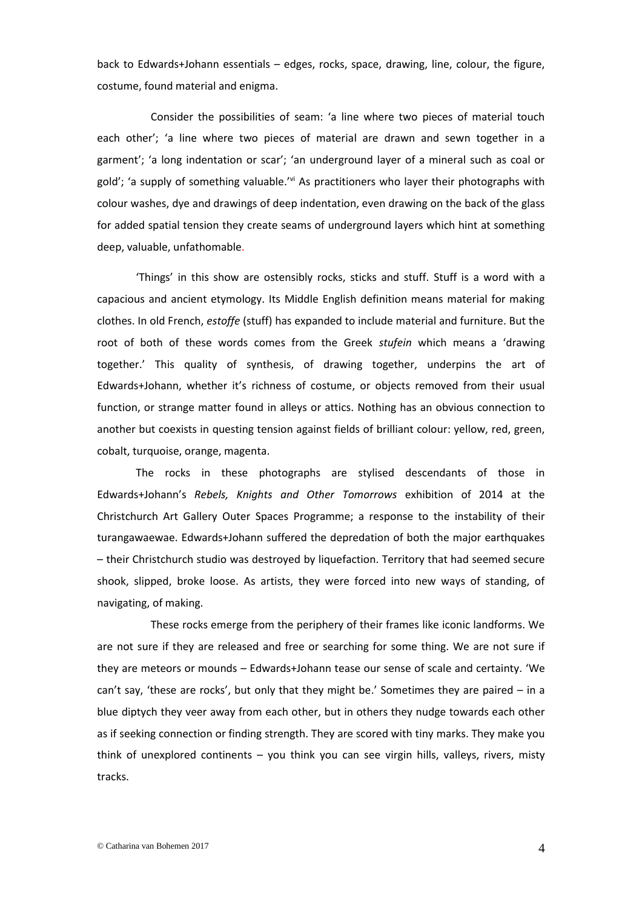back to Edwards+Johann essentials – edges, rocks, space, drawing, line, colour, the figure, costume, found material and enigma.

Consider the possibilities of seam: 'a line where two pieces of material touch each other'; 'a line where two pieces of material are drawn and sewn together in a garment'; 'a long indentation or scar'; 'an underground layer of a mineral such as coal or gold'; 'a supply of something valuable.'<sup>vi</sup> As practitioners who layer their photographs with colour washes, dye and drawings of deep indentation, even drawing on the back of the glass for added spatial tension they create seams of underground layers which hint at something deep, valuable, unfathomable.

'Things' in this show are ostensibly rocks, sticks and stuff. Stuff is a word with a capacious and ancient etymology. Its Middle English definition means material for making clothes. In old French, *estoffe* (stuff) has expanded to include material and furniture. But the root of both of these words comes from the Greek *stufein* which means a 'drawing together.' This quality of synthesis, of drawing together, underpins the art of Edwards+Johann, whether it's richness of costume, or objects removed from their usual function, or strange matter found in alleys or attics. Nothing has an obvious connection to another but coexists in questing tension against fields of brilliant colour: yellow, red, green, cobalt, turquoise, orange, magenta.

The rocks in these photographs are stylised descendants of those in Edwards+Johann's *Rebels, Knights and Other Tomorrows* exhibition of 2014 at the Christchurch Art Gallery Outer Spaces Programme; a response to the instability of their turangawaewae. Edwards+Johann suffered the depredation of both the major earthquakes – their Christchurch studio was destroyed by liquefaction. Territory that had seemed secure shook, slipped, broke loose. As artists, they were forced into new ways of standing, of navigating, of making.

These rocks emerge from the periphery of their frames like iconic landforms. We are not sure if they are released and free or searching for some thing. We are not sure if they are meteors or mounds – Edwards+Johann tease our sense of scale and certainty. 'We can't say, 'these are rocks', but only that they might be.' Sometimes they are paired – in a blue diptych they veer away from each other, but in others they nudge towards each other as if seeking connection or finding strength. They are scored with tiny marks. They make you think of unexplored continents – you think you can see virgin hills, valleys, rivers, misty tracks.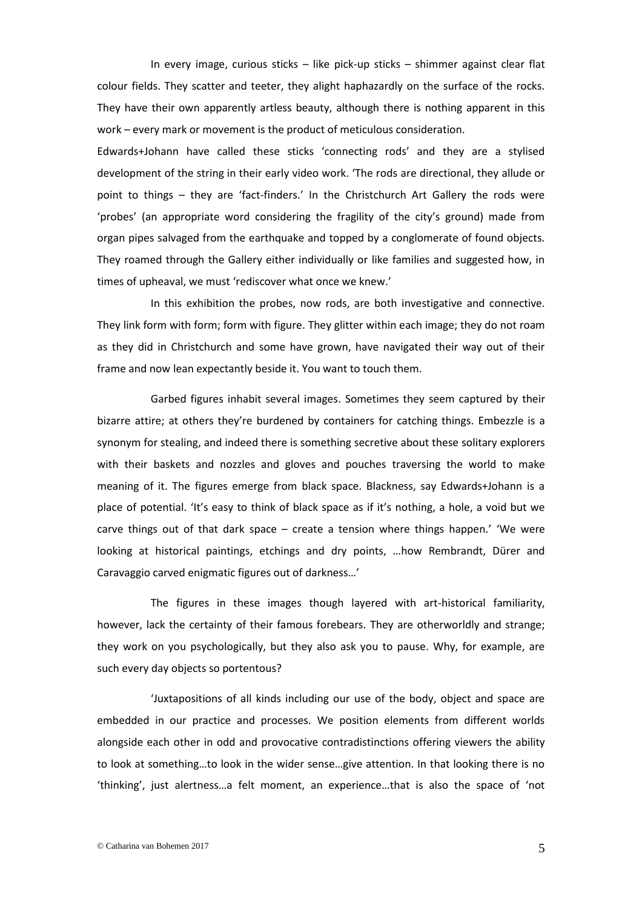In every image, curious sticks – like pick-up sticks – shimmer against clear flat colour fields. They scatter and teeter, they alight haphazardly on the surface of the rocks. They have their own apparently artless beauty, although there is nothing apparent in this work – every mark or movement is the product of meticulous consideration.

Edwards+Johann have called these sticks 'connecting rods' and they are a stylised development of the string in their early video work. 'The rods are directional, they allude or point to things – they are 'fact-finders.' In the Christchurch Art Gallery the rods were 'probes' (an appropriate word considering the fragility of the city's ground) made from organ pipes salvaged from the earthquake and topped by a conglomerate of found objects. They roamed through the Gallery either individually or like families and suggested how, in times of upheaval, we must 'rediscover what once we knew.'

In this exhibition the probes, now rods, are both investigative and connective. They link form with form; form with figure. They glitter within each image; they do not roam as they did in Christchurch and some have grown, have navigated their way out of their frame and now lean expectantly beside it. You want to touch them.

Garbed figures inhabit several images. Sometimes they seem captured by their bizarre attire; at others they're burdened by containers for catching things. Embezzle is a synonym for stealing, and indeed there is something secretive about these solitary explorers with their baskets and nozzles and gloves and pouches traversing the world to make meaning of it. The figures emerge from black space. Blackness, say Edwards+Johann is a place of potential. 'It's easy to think of black space as if it's nothing, a hole, a void but we carve things out of that dark space – create a tension where things happen.' 'We were looking at historical paintings, etchings and dry points, …how Rembrandt, Dürer and Caravaggio carved enigmatic figures out of darkness…'

The figures in these images though layered with art-historical familiarity, however, lack the certainty of their famous forebears. They are otherworldly and strange; they work on you psychologically, but they also ask you to pause. Why, for example, are such every day objects so portentous?

'Juxtapositions of all kinds including our use of the body, object and space are embedded in our practice and processes. We position elements from different worlds alongside each other in odd and provocative contradistinctions offering viewers the ability to look at something…to look in the wider sense…give attention. In that looking there is no 'thinking', just alertness…a felt moment, an experience…that is also the space of 'not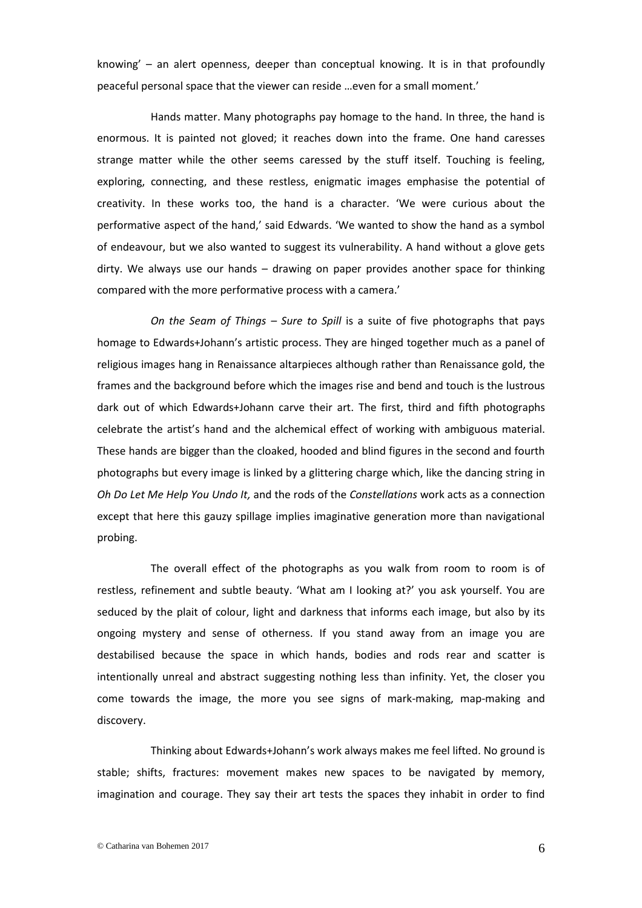knowing' – an alert openness, deeper than conceptual knowing. It is in that profoundly peaceful personal space that the viewer can reside …even for a small moment.'

Hands matter. Many photographs pay homage to the hand. In three, the hand is enormous. It is painted not gloved; it reaches down into the frame. One hand caresses strange matter while the other seems caressed by the stuff itself. Touching is feeling, exploring, connecting, and these restless, enigmatic images emphasise the potential of creativity. In these works too, the hand is a character. 'We were curious about the performative aspect of the hand,' said Edwards. 'We wanted to show the hand as a symbol of endeavour, but we also wanted to suggest its vulnerability. A hand without a glove gets dirty. We always use our hands – drawing on paper provides another space for thinking compared with the more performative process with a camera.'

*On the Seam of Things – Sure to Spill* is a suite of five photographs that pays homage to Edwards+Johann's artistic process. They are hinged together much as a panel of religious images hang in Renaissance altarpieces although rather than Renaissance gold, the frames and the background before which the images rise and bend and touch is the lustrous dark out of which Edwards+Johann carve their art. The first, third and fifth photographs celebrate the artist's hand and the alchemical effect of working with ambiguous material. These hands are bigger than the cloaked, hooded and blind figures in the second and fourth photographs but every image is linked by a glittering charge which, like the dancing string in *Oh Do Let Me Help You Undo It,* and the rods of the *Constellations* work acts as a connection except that here this gauzy spillage implies imaginative generation more than navigational probing.

The overall effect of the photographs as you walk from room to room is of restless, refinement and subtle beauty. 'What am I looking at?' you ask yourself. You are seduced by the plait of colour, light and darkness that informs each image, but also by its ongoing mystery and sense of otherness. If you stand away from an image you are destabilised because the space in which hands, bodies and rods rear and scatter is intentionally unreal and abstract suggesting nothing less than infinity. Yet, the closer you come towards the image, the more you see signs of mark-making, map-making and discovery.

Thinking about Edwards+Johann's work always makes me feel lifted. No ground is stable; shifts, fractures: movement makes new spaces to be navigated by memory, imagination and courage. They say their art tests the spaces they inhabit in order to find